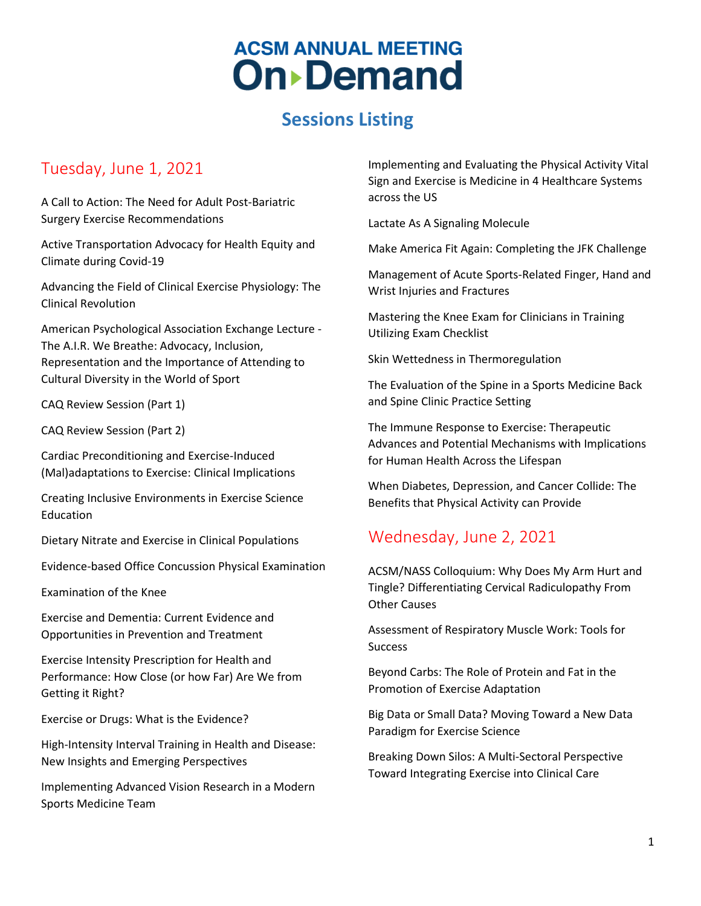## **Sessions Listing**

#### Tuesday, June 1, 2021

A Call to Action: The Need for Adult Post-Bariatric Surgery Exercise Recommendations

Active Transportation Advocacy for Health Equity and Climate during Covid-19

Advancing the Field of Clinical Exercise Physiology: The Clinical Revolution

American Psychological Association Exchange Lecture - The A.I.R. We Breathe: Advocacy, Inclusion, Representation and the Importance of Attending to Cultural Diversity in the World of Sport

CAQ Review Session (Part 1)

CAQ Review Session (Part 2)

Cardiac Preconditioning and Exercise-Induced (Mal)adaptations to Exercise: Clinical Implications

Creating Inclusive Environments in Exercise Science Education

Dietary Nitrate and Exercise in Clinical Populations

Evidence-based Office Concussion Physical Examination

Examination of the Knee

Exercise and Dementia: Current Evidence and Opportunities in Prevention and Treatment

Exercise Intensity Prescription for Health and Performance: How Close (or how Far) Are We from Getting it Right?

Exercise or Drugs: What is the Evidence?

High-Intensity Interval Training in Health and Disease: New Insights and Emerging Perspectives

Implementing Advanced Vision Research in a Modern Sports Medicine Team

Implementing and Evaluating the Physical Activity Vital Sign and Exercise is Medicine in 4 Healthcare Systems across the US

Lactate As A Signaling Molecule

Make America Fit Again: Completing the JFK Challenge

Management of Acute Sports-Related Finger, Hand and Wrist Injuries and Fractures

Mastering the Knee Exam for Clinicians in Training Utilizing Exam Checklist

Skin Wettedness in Thermoregulation

The Evaluation of the Spine in a Sports Medicine Back and Spine Clinic Practice Setting

The Immune Response to Exercise: Therapeutic Advances and Potential Mechanisms with Implications for Human Health Across the Lifespan

When Diabetes, Depression, and Cancer Collide: The Benefits that Physical Activity can Provide

#### Wednesday, June 2, 2021

ACSM/NASS Colloquium: Why Does My Arm Hurt and Tingle? Differentiating Cervical Radiculopathy From Other Causes

Assessment of Respiratory Muscle Work: Tools for **Success** 

Beyond Carbs: The Role of Protein and Fat in the Promotion of Exercise Adaptation

Big Data or Small Data? Moving Toward a New Data Paradigm for Exercise Science

Breaking Down Silos: A Multi-Sectoral Perspective Toward Integrating Exercise into Clinical Care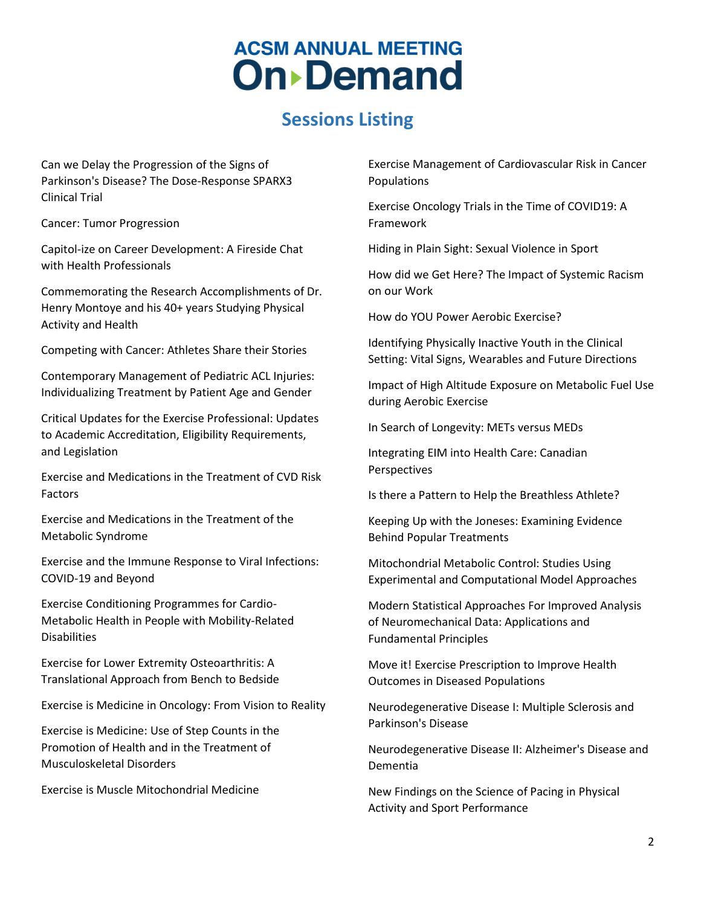### **Sessions Listing**

Can we Delay the Progression of the Signs of Parkinson's Disease? The Dose-Response SPARX3 Clinical Trial

Cancer: Tumor Progression

Capitol-ize on Career Development: A Fireside Chat with Health Professionals

Commemorating the Research Accomplishments of Dr. Henry Montoye and his 40+ years Studying Physical Activity and Health

Competing with Cancer: Athletes Share their Stories

Contemporary Management of Pediatric ACL Injuries: Individualizing Treatment by Patient Age and Gender

Critical Updates for the Exercise Professional: Updates to Academic Accreditation, Eligibility Requirements, and Legislation

Exercise and Medications in the Treatment of CVD Risk Factors

Exercise and Medications in the Treatment of the Metabolic Syndrome

Exercise and the Immune Response to Viral Infections: COVID-19 and Beyond

Exercise Conditioning Programmes for Cardio-Metabolic Health in People with Mobility-Related Disabilities

Exercise for Lower Extremity Osteoarthritis: A Translational Approach from Bench to Bedside

Exercise is Medicine in Oncology: From Vision to Reality

Exercise is Medicine: Use of Step Counts in the Promotion of Health and in the Treatment of Musculoskeletal Disorders

Exercise is Muscle Mitochondrial Medicine

Exercise Management of Cardiovascular Risk in Cancer Populations

Exercise Oncology Trials in the Time of COVID19: A Framework

Hiding in Plain Sight: Sexual Violence in Sport

How did we Get Here? The Impact of Systemic Racism on our Work

How do YOU Power Aerobic Exercise?

Identifying Physically Inactive Youth in the Clinical Setting: Vital Signs, Wearables and Future Directions

Impact of High Altitude Exposure on Metabolic Fuel Use during Aerobic Exercise

In Search of Longevity: METs versus MEDs

Integrating EIM into Health Care: Canadian Perspectives

Is there a Pattern to Help the Breathless Athlete?

Keeping Up with the Joneses: Examining Evidence Behind Popular Treatments

Mitochondrial Metabolic Control: Studies Using Experimental and Computational Model Approaches

Modern Statistical Approaches For Improved Analysis of Neuromechanical Data: Applications and Fundamental Principles

Move it! Exercise Prescription to Improve Health Outcomes in Diseased Populations

Neurodegenerative Disease I: Multiple Sclerosis and Parkinson's Disease

Neurodegenerative Disease II: Alzheimer's Disease and Dementia

New Findings on the Science of Pacing in Physical Activity and Sport Performance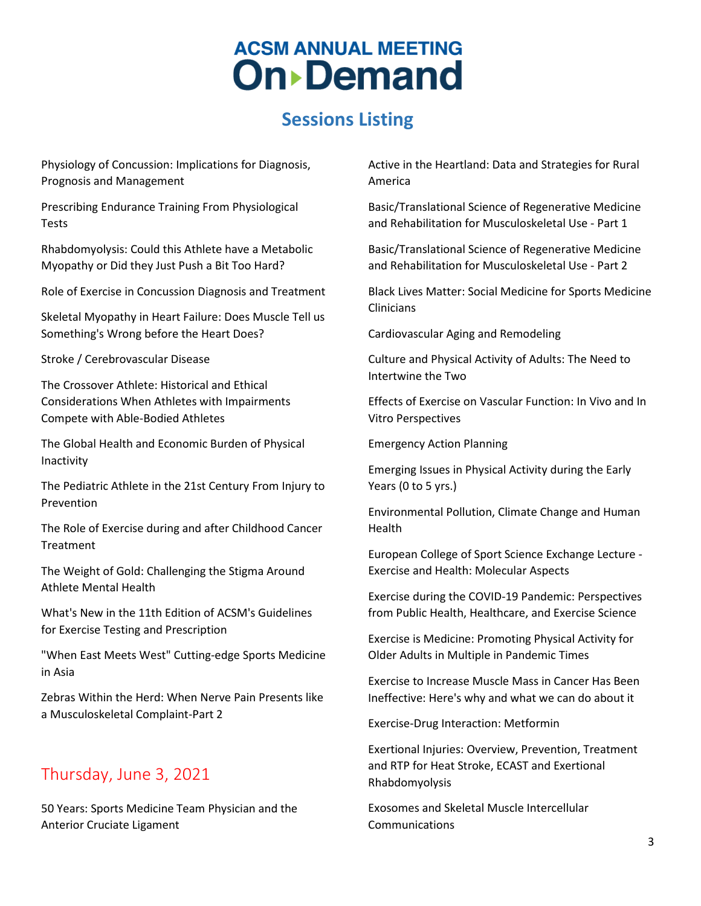## **Sessions Listing**

Physiology of Concussion: Implications for Diagnosis, Prognosis and Management

Prescribing Endurance Training From Physiological Tests

Rhabdomyolysis: Could this Athlete have a Metabolic Myopathy or Did they Just Push a Bit Too Hard?

Role of Exercise in Concussion Diagnosis and Treatment

Skeletal Myopathy in Heart Failure: Does Muscle Tell us Something's Wrong before the Heart Does?

Stroke / Cerebrovascular Disease

The Crossover Athlete: Historical and Ethical Considerations When Athletes with Impairments Compete with Able-Bodied Athletes

The Global Health and Economic Burden of Physical Inactivity

The Pediatric Athlete in the 21st Century From Injury to Prevention

The Role of Exercise during and after Childhood Cancer **Treatment** 

The Weight of Gold: Challenging the Stigma Around Athlete Mental Health

What's New in the 11th Edition of ACSM's Guidelines for Exercise Testing and Prescription

"When East Meets West" Cutting-edge Sports Medicine in Asia

Zebras Within the Herd: When Nerve Pain Presents like a Musculoskeletal Complaint-Part 2

#### Thursday, June 3, 2021

50 Years: Sports Medicine Team Physician and the Anterior Cruciate Ligament

Active in the Heartland: Data and Strategies for Rural America

Basic/Translational Science of Regenerative Medicine and Rehabilitation for Musculoskeletal Use - Part 1

Basic/Translational Science of Regenerative Medicine and Rehabilitation for Musculoskeletal Use - Part 2

Black Lives Matter: Social Medicine for Sports Medicine Clinicians

Cardiovascular Aging and Remodeling

Culture and Physical Activity of Adults: The Need to Intertwine the Two

Effects of Exercise on Vascular Function: In Vivo and In Vitro Perspectives

Emergency Action Planning

Emerging Issues in Physical Activity during the Early Years (0 to 5 yrs.)

Environmental Pollution, Climate Change and Human Health

European College of Sport Science Exchange Lecture - Exercise and Health: Molecular Aspects

Exercise during the COVID-19 Pandemic: Perspectives from Public Health, Healthcare, and Exercise Science

Exercise is Medicine: Promoting Physical Activity for Older Adults in Multiple in Pandemic Times

Exercise to Increase Muscle Mass in Cancer Has Been Ineffective: Here's why and what we can do about it

Exercise-Drug Interaction: Metformin

Exertional Injuries: Overview, Prevention, Treatment and RTP for Heat Stroke, ECAST and Exertional Rhabdomyolysis

Exosomes and Skeletal Muscle Intercellular Communications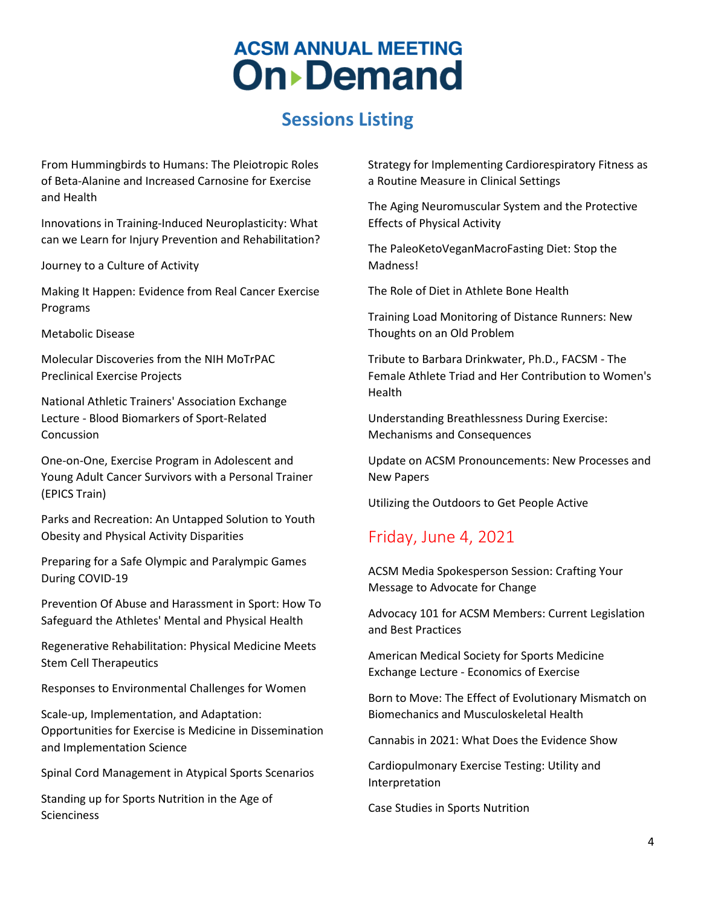### **Sessions Listing**

From Hummingbirds to Humans: The Pleiotropic Roles of Beta-Alanine and Increased Carnosine for Exercise and Health

Innovations in Training-Induced Neuroplasticity: What can we Learn for Injury Prevention and Rehabilitation?

Journey to a Culture of Activity

Making It Happen: Evidence from Real Cancer Exercise Programs

Metabolic Disease

Molecular Discoveries from the NIH MoTrPAC Preclinical Exercise Projects

National Athletic Trainers' Association Exchange Lecture - Blood Biomarkers of Sport-Related Concussion

One-on-One, Exercise Program in Adolescent and Young Adult Cancer Survivors with a Personal Trainer (EPICS Train)

Parks and Recreation: An Untapped Solution to Youth Obesity and Physical Activity Disparities

Preparing for a Safe Olympic and Paralympic Games During COVID-19

Prevention Of Abuse and Harassment in Sport: How To Safeguard the Athletes' Mental and Physical Health

Regenerative Rehabilitation: Physical Medicine Meets Stem Cell Therapeutics

Responses to Environmental Challenges for Women

Scale-up, Implementation, and Adaptation: Opportunities for Exercise is Medicine in Dissemination and Implementation Science

Spinal Cord Management in Atypical Sports Scenarios

Standing up for Sports Nutrition in the Age of **Scienciness** 

Strategy for Implementing Cardiorespiratory Fitness as a Routine Measure in Clinical Settings

The Aging Neuromuscular System and the Protective Effects of Physical Activity

The PaleoKetoVeganMacroFasting Diet: Stop the Madness!

The Role of Diet in Athlete Bone Health

Training Load Monitoring of Distance Runners: New Thoughts on an Old Problem

Tribute to Barbara Drinkwater, Ph.D., FACSM - The Female Athlete Triad and Her Contribution to Women's Health

Understanding Breathlessness During Exercise: Mechanisms and Consequences

Update on ACSM Pronouncements: New Processes and New Papers

Utilizing the Outdoors to Get People Active

#### Friday, June 4, 2021

ACSM Media Spokesperson Session: Crafting Your Message to Advocate for Change

Advocacy 101 for ACSM Members: Current Legislation and Best Practices

American Medical Society for Sports Medicine Exchange Lecture - Economics of Exercise

Born to Move: The Effect of Evolutionary Mismatch on Biomechanics and Musculoskeletal Health

Cannabis in 2021: What Does the Evidence Show

Cardiopulmonary Exercise Testing: Utility and Interpretation

Case Studies in Sports Nutrition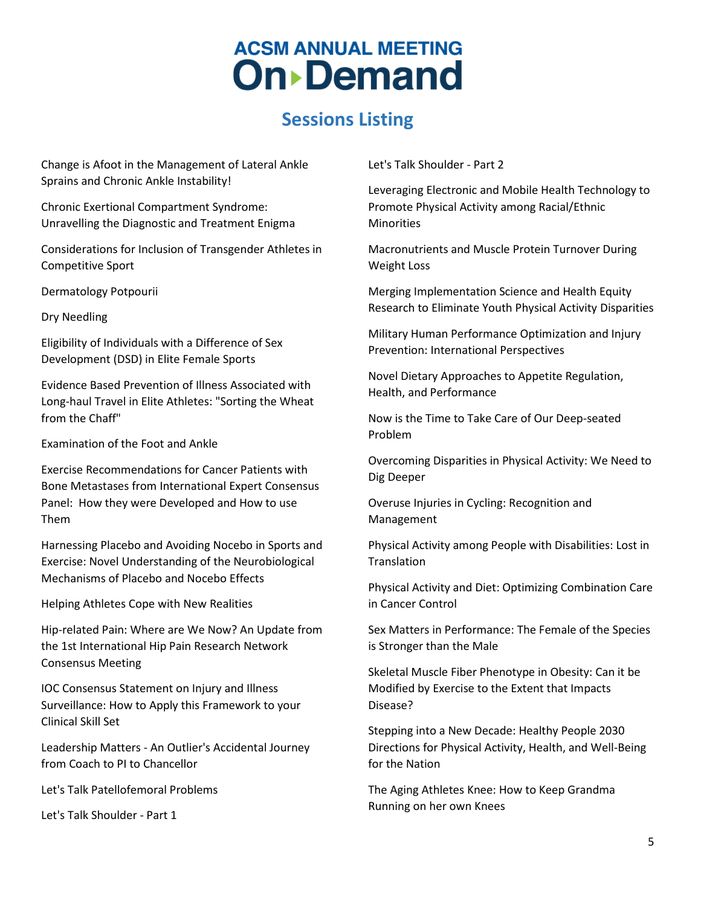## **Sessions Listing**

Change is Afoot in the Management of Lateral Ankle Sprains and Chronic Ankle Instability!

Chronic Exertional Compartment Syndrome: Unravelling the Diagnostic and Treatment Enigma

Considerations for Inclusion of Transgender Athletes in Competitive Sport

Dermatology Potpourii

Dry Needling

Eligibility of Individuals with a Difference of Sex Development (DSD) in Elite Female Sports

Evidence Based Prevention of Illness Associated with Long-haul Travel in Elite Athletes: "Sorting the Wheat from the Chaff"

Examination of the Foot and Ankle

Exercise Recommendations for Cancer Patients with Bone Metastases from International Expert Consensus Panel: How they were Developed and How to use Them

Harnessing Placebo and Avoiding Nocebo in Sports and Exercise: Novel Understanding of the Neurobiological Mechanisms of Placebo and Nocebo Effects

Helping Athletes Cope with New Realities

Hip-related Pain: Where are We Now? An Update from the 1st International Hip Pain Research Network Consensus Meeting

IOC Consensus Statement on Injury and Illness Surveillance: How to Apply this Framework to your Clinical Skill Set

Leadership Matters - An Outlier's Accidental Journey from Coach to PI to Chancellor

Let's Talk Patellofemoral Problems

Let's Talk Shoulder - Part 1

Let's Talk Shoulder - Part 2

Leveraging Electronic and Mobile Health Technology to Promote Physical Activity among Racial/Ethnic **Minorities** 

Macronutrients and Muscle Protein Turnover During Weight Loss

Merging Implementation Science and Health Equity Research to Eliminate Youth Physical Activity Disparities

Military Human Performance Optimization and Injury Prevention: International Perspectives

Novel Dietary Approaches to Appetite Regulation, Health, and Performance

Now is the Time to Take Care of Our Deep-seated Problem

Overcoming Disparities in Physical Activity: We Need to Dig Deeper

Overuse Injuries in Cycling: Recognition and Management

Physical Activity among People with Disabilities: Lost in Translation

Physical Activity and Diet: Optimizing Combination Care in Cancer Control

Sex Matters in Performance: The Female of the Species is Stronger than the Male

Skeletal Muscle Fiber Phenotype in Obesity: Can it be Modified by Exercise to the Extent that Impacts Disease?

Stepping into a New Decade: Healthy People 2030 Directions for Physical Activity, Health, and Well-Being for the Nation

The Aging Athletes Knee: How to Keep Grandma Running on her own Knees